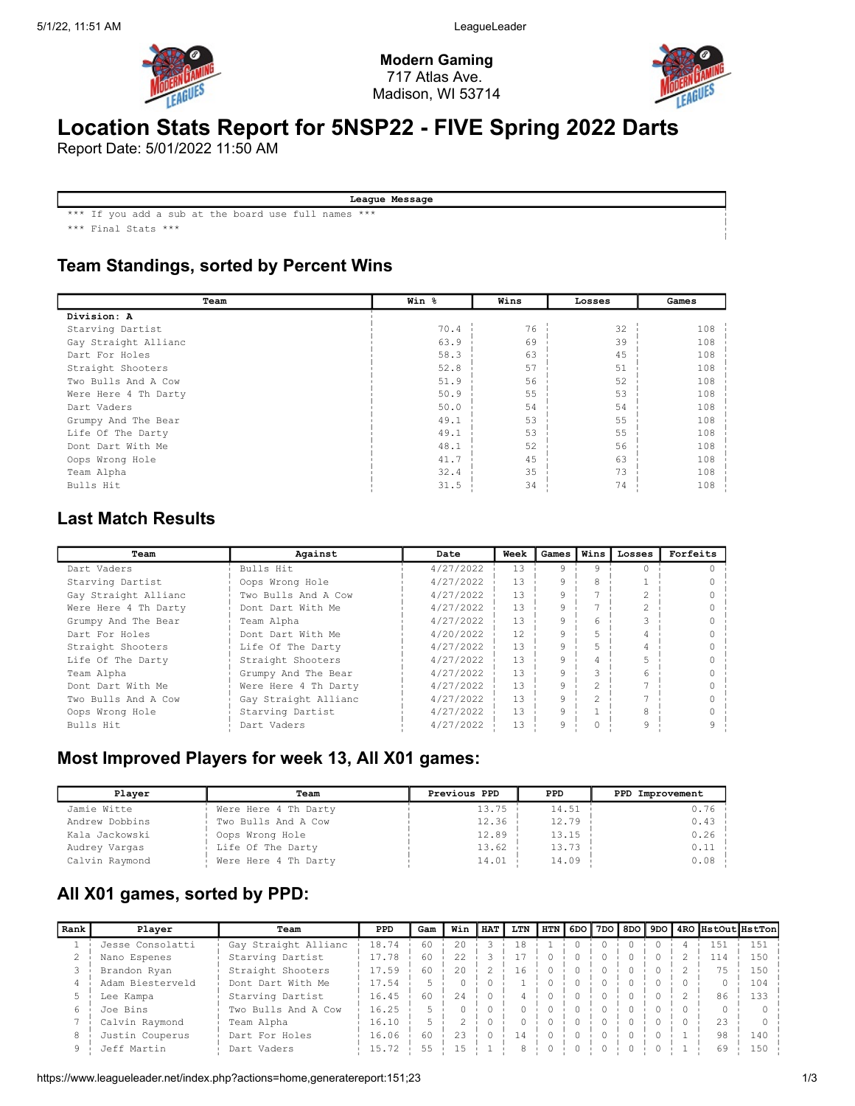

Modern Gaming 717 Atlas Ave. Madison, WI 53714



# Location Stats Report for 5NSP22 - FIVE Spring 2022 Darts

Report Date: 5/01/2022 11:50 AM

League Message \*\*\* If you add a sub at the board use full names \*\*\*

\*\*\* Final Stats \*\*\*

#### Team Standings, sorted by Percent Wins

| Team                 | Win % | Wins | Losses | Games |
|----------------------|-------|------|--------|-------|
| Division: A          |       |      |        |       |
| Starving Dartist     | 70.4  | 76   | 32     | 108   |
| Gay Straight Allianc | 63.9  | 69   | 39     | 108   |
| Dart For Holes       | 58.3  | 63   | 45     | 108   |
| Straight Shooters    | 52.8  | 57   | 51     | 108   |
| Two Bulls And A Cow  | 51.9  | 56   | 52     | 108   |
| Were Here 4 Th Darty | 50.9  | 55   | 53     | 108   |
| Dart Vaders          | 50.0  | 54   | 54     | 108   |
| Grumpy And The Bear  | 49.1  | 53   | 55     | 108   |
| Life Of The Darty    | 49.1  | 53   | 55     | 108   |
| Dont Dart With Me    | 48.1  | 52   | 56     | 108   |
| Oops Wrong Hole      | 41.7  | 45   | 63     | 108   |
| Team Alpha           | 32.4  | 35   | 73     | 108   |
| Bulls Hit            | 31.5  | 34   | 74     | 108   |

#### Last Match Results

| Team                 | Against              | Date      | Week | Games | Winsl          | Losses | Forfeits |
|----------------------|----------------------|-----------|------|-------|----------------|--------|----------|
| Dart Vaders          | Bulls Hit            | 4/27/2022 | 13   | 9     | 9              |        |          |
| Starving Dartist     | Oops Wrong Hole      | 4/27/2022 | 13   | 9     | 8              |        |          |
| Gay Straight Allianc | Two Bulls And A Cow  | 4/27/2022 | 13   | 9     |                |        |          |
| Were Here 4 Th Darty | Dont Dart With Me    | 4/27/2022 | 13   |       |                |        |          |
| Grumpy And The Bear  | Team Alpha           | 4/27/2022 | 13   | 9     | 6              |        |          |
| Dart For Holes       | Dont Dart With Me    | 4/20/2022 | 12   | 9     | 5              |        |          |
| Straight Shooters    | Life Of The Darty    | 4/27/2022 | 13   | 9     |                |        |          |
| Life Of The Darty    | Straight Shooters    | 4/27/2022 | 13   |       | 4              |        |          |
| Team Alpha           | Grumpy And The Bear  | 4/27/2022 | 13   | 9     |                | 6      |          |
| Dont Dart With Me    | Were Here 4 Th Darty | 4/27/2022 | 13   | 9     | $\mathfrak{D}$ |        |          |
| Two Bulls And A Cow  | Gay Straight Allianc | 4/27/2022 | 13   | 9     | $\mathfrak{D}$ |        |          |
| Oops Wrong Hole      | Starving Dartist     | 4/27/2022 | 13   | 9     |                | 8      |          |
| Bulls Hit            | Dart Vaders          | 4/27/2022 | 13   | 9     |                | 9      | q        |

#### Most Improved Players for week 13, All X01 games:

| Plaver         | Team                 | Previous PPD | PPD.  | PPD Improvement |
|----------------|----------------------|--------------|-------|-----------------|
| Jamie Witte    | Were Here 4 Th Darty | 13.75        | 14.51 | $0.76$ i        |
| Andrew Dobbins | Two Bulls And A Cow  | 12.36        | 12.79 | 0.43            |
| Kala Jackowski | Oops Wrong Hole      | 12.89        | 13.15 | 0.26            |
| Audrey Vargas  | Life Of The Darty    | 13.62        | 13.73 | 0.11            |
| Calvin Raymond | Were Here 4 Th Darty | 14.01        | 14.09 | 0.08            |

### All X01 games, sorted by PPD:

| Rank | Player           | Team                 | <b>PPD</b> | Gam | Win          | <b>HAT</b> | LTN |  |  |        |               | HTN    6DO    7DO    8DO    9DO    4RO   HstOut  HstTon |
|------|------------------|----------------------|------------|-----|--------------|------------|-----|--|--|--------|---------------|---------------------------------------------------------|
|      | Jesse Consolatti | Gay Straight Allianc | 18.74      | 60  | $20^{\circ}$ |            | 18  |  |  | $\cap$ | $1.5^{\circ}$ | 1.51                                                    |
|      | Nano Espenes     | Starving Dartist     | 17.78      | 60  | 22.2         |            |     |  |  |        | 114           | 150                                                     |
|      | Brandon Ryan     | Straight Shooters    | 17.59      | 60  | $20^{\circ}$ |            | 16  |  |  |        |               | 150                                                     |
|      | Adam Biesterveld | Dont Dart With Me    | 17.54      |     |              |            |     |  |  |        |               | 104                                                     |
|      | Lee Kampa        | Starving Dartist     | 16.45      | 60  | 2.4          |            |     |  |  |        | 86            | 133                                                     |
| 6.   | Joe Bins         | Two Bulls And A Cow  | 16.25      |     |              |            |     |  |  |        |               |                                                         |
|      | Calvin Raymond   | Team Alpha           | 16.10      |     |              |            |     |  |  |        |               |                                                         |
|      | Justin Couperus  | Dart For Holes       | 16.06      | 60  | 23           |            | 14  |  |  |        | 98            | 140                                                     |
|      | Jeff Martin      | Dart Vaders          | 15.72      | 55  | 1.5          |            |     |  |  |        | 69            | 150                                                     |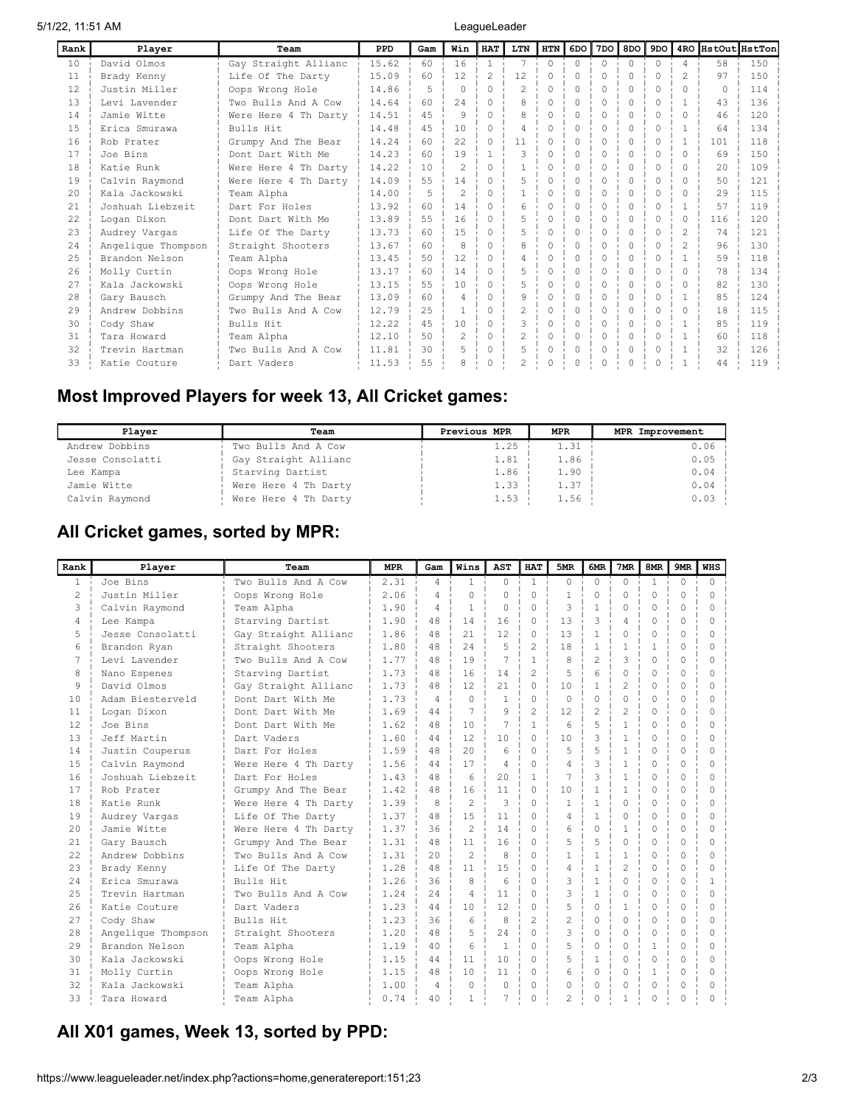5/1/22, 11:51 AM LeagueLeader

| Rank            | Player             | Team                 | <b>PPD</b> | Gam | Win            | <b>HAT</b>                                                                                                             | LTN            | <b>HTN</b> | 6DO      | 7DO      | 8DO      | 9DO          |                | 4RO HstOut HstTon |     |
|-----------------|--------------------|----------------------|------------|-----|----------------|------------------------------------------------------------------------------------------------------------------------|----------------|------------|----------|----------|----------|--------------|----------------|-------------------|-----|
| 10 <sup>°</sup> | David Olmos        | Gay Straight Allianc | 15.62      | 60  | 16             | $\overline{1}$                                                                                                         | $\tau$         | $\Omega$   | $\Omega$ | $\Omega$ | $\Omega$ | $\Omega$     | $\overline{4}$ | 58                | 150 |
| 11              | Brady Kenny        | Life Of The Darty    | 15.09      | 60  | 12             | $\mathfrak{D}_{1}^{2}(\mathfrak{D}_{1})=\mathfrak{D}_{2}^{2}(\mathfrak{D}_{2})=\mathfrak{D}_{2}^{2}(\mathfrak{D}_{1})$ | 12             | $\Omega$   | $\Omega$ | $\Omega$ | $\Omega$ | $\Omega$     | $\mathfrak{D}$ | 97                | 150 |
| 12.             | Justin Miller      | Oops Wrong Hole      | 14.86      | 5   | $\Omega$       | $\bigcap$                                                                                                              | $\mathfrak{D}$ | 0          | $\Omega$ | $\Omega$ | $\Omega$ | O            | $\Omega$       | $\bigcap$         | 114 |
| 13              | Levi Lavender      | Two Bulls And A Cow  | 14.64      | 60  | 2.4            | $\bigcap$                                                                                                              | 8              | $\Omega$   | $\Omega$ | $\Omega$ | $\Omega$ | U            |                | 43                | 136 |
| 14              | Jamie Witte        | Were Here 4 Th Darty | 14.51      | 4.5 | $\mathsf{Q}$   | $\bigcap$                                                                                                              | 8              | 0          |          | $\Omega$ | $\Omega$ |              | 0              | 46                | 120 |
| 1.5             | Erica Smurawa      | Bulls Hit            | 14.48      | 4.5 | 10             | $\bigcap$                                                                                                              | $\Delta$       | 0          |          | $\Omega$ | $\cap$   | 0            |                | 64                | 134 |
| 16              | Rob Prater         | Grumpy And The Bear  | 14.24      | 60  | 22             |                                                                                                                        | 11             |            |          | $\Omega$ | $\Omega$ | 0            |                | 101               | 118 |
| 17              | Joe Bins           | Dont Dart With Me    | 14.23      | 60  | 19             |                                                                                                                        | ς              | 0          | $\Omega$ | $\Omega$ | $\Omega$ | <sup>0</sup> | 0              | 69                | 150 |
| 18              | Katie Runk         | Were Here 4 Th Darty | 14.22      | 10  | $\mathfrak{D}$ | $\bigcap$                                                                                                              |                | $\Omega$   | $\Omega$ | $\Omega$ | $\Omega$ | $\Omega$     | $\Omega$       | 20                | 109 |
| 19              | Calvin Raymond     | Were Here 4 Th Darty | 14.09      | 55  | 14             | $\bigcap$                                                                                                              | 5              | 0          | $\Omega$ | $\Omega$ | $\cap$   | <sup>0</sup> | $\Omega$       | 50                | 121 |
| $20^{\circ}$    | Kala Jackowski     | Team Alpha           | 14.00      | 5   | $\mathfrak{D}$ | $\bigcap$                                                                                                              |                | 0          | $\Omega$ | $\Omega$ | $\Omega$ | 0            | 0              | 29                | 115 |
| 21              | Joshuah Liebzeit   | Dart For Holes       | 13.92      | 60  | 14             | $\cup$                                                                                                                 | 6              | 0          | 0        | $\Omega$ | 0        | 0            |                | 57                | 119 |
| 22              | Logan Dixon        | Dont Dart With Me    | 13.89      | 55  | 16             | $\Omega$                                                                                                               | 5              | 0          | $\Omega$ | $\Omega$ | $\Omega$ | $\Omega$     | $\Omega$       | 116               | 120 |
| 23              | Audrey Vargas      | Life Of The Darty    | 13.73      | 60  | 1.5            | $\bigcap$                                                                                                              | 5              | 0          | $\Omega$ | $\Omega$ | $\Omega$ | $\Omega$     | $\mathfrak{D}$ | 74                | 121 |
| 24              | Angelique Thompson | Straight Shooters    | 13.67      | 60  | 8              | $\bigcap$                                                                                                              | 8              | $\Omega$   | $\Omega$ | $\Omega$ | $\Omega$ | $\Omega$     | $\mathcal{L}$  | 96                | 130 |
| 2.5             | Brandon Nelson     | Team Alpha           | 13.45      | 50  | 12             | $\bigcap$                                                                                                              | 4              | 0          | $\Omega$ | $\Omega$ | $\cap$   | <sup>0</sup> |                | 59                | 118 |
| 26              | Molly Curtin       | Oops Wrong Hole      | 13.17      | 60  | 14             | $\bigcap$                                                                                                              | 5              | 0          | $\Omega$ | $\Omega$ | $\cap$   |              | ∩.             | 78                | 134 |
| 2.7             | Kala Jackowski     | Oops Wrong Hole      | 13.15      | 55  | 10             | $\bigcap$                                                                                                              | 5              |            |          | $\Omega$ |          | <sup>0</sup> | 0              | 82                | 130 |
| 28              | Gary Bausch        | Grumpy And The Bear  | 13.09      | 60  | 4              | $\Omega$                                                                                                               | 9              | 0          |          | $\Omega$ | $\Omega$ | 0            |                | 85                | 124 |
| 29              | Andrew Dobbins     | Two Bulls And A Cow  | 12.79      | 25  |                | $\bigcap$                                                                                                              | $\mathfrak{D}$ | $\Omega$   | $\Omega$ | $\Omega$ | $\Omega$ | $\Omega$     | $\Omega$       | 18                | 115 |
| 30              | Cody Shaw          | Bulls Hit            | 12.22      | 4.5 | 10             | $\bigcap$                                                                                                              | $\mathcal{L}$  | $\Omega$   | $\Omega$ | $\Omega$ | $\Omega$ | $\Omega$     |                | 8.5               | 119 |
| 31              | Tara Howard        | Team Alpha           | 12.10      | 50  | $\mathfrak{D}$ | $\Omega$                                                                                                               | $\mathfrak{D}$ | 0          | $\Omega$ | $\Omega$ | $\cap$   | $\Omega$     |                | 60                | 118 |
| 32              | Trevin Hartman     | Two Bulls And A Cow  | 11.81      | 30  | 5              | $\bigcap$                                                                                                              | 5              | 0          | $\Omega$ | $\Omega$ | $\Omega$ | $\Omega$     |                | 32                | 126 |
| 33              | Katie Couture      | Dart Vaders          | 11.53      | 55  |                |                                                                                                                        | 2              | 0          |          | 0        | 0        | 0            |                | 44                | 119 |

### Most Improved Players for week 13, All Cricket games:

| Plaver           | Team                 | Previous MPR | <b>MPR</b> | MPR Improvement |
|------------------|----------------------|--------------|------------|-----------------|
| Andrew Dobbins   | Two Bulls And A Cow  | 1.25         | 1.31       | 0.06            |
| Jesse Consolatti | Gay Straight Allianc | 1.81         | 1.86       | 0.05            |
| Lee Kampa        | Starving Dartist     | 1.86         | 1.90       | 0.04            |
| Jamie Witte      | Were Here 4 Th Darty | 1.33         | 1.37       | 0.04            |
| Calvin Raymond   | Were Here 4 Th Darty | 1.53         | 1.56       | 0.03            |

### All Cricket games, sorted by MPR:

| Rank           | Player             | Team                 | <b>MPR</b> | Gam            | Wins           | <b>AST</b>     | <b>HAT</b>     | 5MR                      | 6MR            | 7MR                      | 8MR          | 9MR      | <b>WHS</b> |
|----------------|--------------------|----------------------|------------|----------------|----------------|----------------|----------------|--------------------------|----------------|--------------------------|--------------|----------|------------|
| $\mathbf{1}$   | Joe Bins           | Two Bulls And A Cow  | 2.31       | 4              | $\mathbf{1}$   | $\Omega$       | $\mathbf{1}$   | $\Omega$                 | $\Omega$       | $\Omega$                 | $\mathbf{1}$ | $\Omega$ | $\bigcap$  |
| $\overline{2}$ | Justin Miller      | Oops Wrong Hole      | 2.06       | $\Delta$       | $\Omega$       | $\Omega$       | $\Omega$       | $\mathbf{1}$             | $\Omega$       | $\Omega$                 | $\circ$      | $\Omega$ | $\bigcap$  |
| 3              | Calvin Raymond     | Team Alpha           | 1.90       | $\overline{4}$ | $\mathbf{1}$   | $\Omega$       | $\Omega$       | 3                        | 1              | $\Omega$                 | $\Omega$     | $\cap$   | $\cap$     |
| 4              | Lee Kampa          | Starving Dartist     | 1.90       | 48             | 14             | 16             | $\Omega$       | 13                       | 3              | 4                        | $\Omega$     | $\Omega$ | $\Omega$   |
| 5.             | Jesse Consolatti   | Gay Straight Allianc | 1.86       | 48             | 21             | 12             | 0              | 13                       | $\mathbf{1}$   | $\Omega$                 | $\Omega$     | $\Omega$ | $\cap$     |
| 6              | Brandon Ryan       | Straight Shooters    | 1.80       | 48             | 2.4            | .5             | 2              | 18                       | $\mathbf{1}$   | 1                        | $\mathbf{1}$ | $\Omega$ | $\Omega$   |
| 7              | Levi Lavender      | Two Bulls And A Cow  | 1.77       | 48             | 19             | 7              | $\mathbf{1}$   | 8                        | $\overline{c}$ | $\mathcal{L}$            | $\Omega$     | $\cap$   | $\Omega$   |
| 8              | Nano Espenes       | Starving Dartist     | 1.73       | 48             | 16             | 14             | $\overline{c}$ | 5                        | 6              | $\Omega$                 | $\Omega$     | $\cap$   | $\Omega$   |
| 9              | David Olmos        | Gay Straight Allianc | 1.73       | 48             | 12             | 2.1            | 0              | 10                       | 1              | $\overline{\mathcal{L}}$ | $\Omega$     | $\cap$   | $\Omega$   |
| 10             | Adam Biesterveld   | Dont Dart With Me    | 1.73       | $\overline{4}$ | $\Omega$       | $\mathbf{1}$   | O              | $\Omega$                 | $\Omega$       | $\cap$                   | $\Omega$     | $\Omega$ | ∩          |
| 11             | Logan Dixon        | Dont Dart With Me    | 1.69       | 44             | 7              | 9              | $\mathfrak{D}$ | 12                       | $\overline{c}$ | $\overline{c}$           | $\Omega$     | $\Omega$ | $\Omega$   |
| 12             | Joe Bins           | Dont Dart With Me    | 1.62       | 48             | 10             |                | 1              | 6                        | 5              | 1                        | $\Omega$     | $\Omega$ | $\Omega$   |
| 13             | Jeff Martin        | Dart Vaders          | 1.60       | 44             | 12             | 10             | 0              | 10                       | 3              | 1                        | $\Omega$     | $\Omega$ | $\Omega$   |
| 14             | Justin Couperus    | Dart For Holes       | 1.59       | 48             | 2.0            | 6              | O              | 5                        | 5              | 1                        | $\circ$      | $\cap$   | $\Omega$   |
| 1.5            | Calvin Raymond     | Were Here 4 Th Darty | 1.56       | 44             | 17             | $\overline{4}$ | $\Omega$       | $\overline{4}$           | 3              | 1                        | $\Omega$     | $\Omega$ | $\Omega$   |
| 16             | Joshuah Liebzeit   | Dart For Holes       | 1.43       | 48             | 6              | 2.0            | 1              | $\overline{7}$           | 3              | 1                        | $\Omega$     | $\Omega$ | ∩          |
| 17             | Rob Prater         | Grumpy And The Bear  | 1.42       | 48             | 16             | 11             | 0              | 10                       | $\mathbf{1}$   | 1                        | $\Omega$     | $\Omega$ | $\Omega$   |
| 18             | Katie Runk         | Were Here 4 Th Darty | 1.39       | 8              | 2              | 3              | $\Omega$       | $\mathbf{1}$             | 1              | $\Omega$                 | $\circ$      | $\Omega$ | $\Omega$   |
| 19             | Audrey Vargas      | Life Of The Darty    | 1.37       | 48             | 15             | 11             | 0              | 4                        | 1              | $\cap$                   | $\Omega$     | $\Omega$ | $\Omega$   |
| 2.0            | Jamie Witte        | Were Here 4 Th Darty | 1.37       | 36             | $\mathfrak{D}$ | 14             | $\Omega$       | 6                        | $\Omega$       | 1                        | $\Omega$     | $\Omega$ | $\Omega$   |
| 21             | Gary Bausch        | Grumpy And The Bear  | 1.31       | 48             | 11             | 16             | $\Omega$       | 5                        | 5              | $\Omega$                 | $\Omega$     | $\Omega$ | ∩          |
| 22.2           | Andrew Dobbins     | Two Bulls And A Cow  | 1.31       | 2.0            | $\mathfrak{D}$ | 8              | U              | 1.                       | 1              | 1                        | $\Omega$     | $\Omega$ | ∩          |
| 23             | Brady Kenny        | Life Of The Darty    | 1.28       | 48             | 11             | 15             | $\Omega$       | 4                        | $\mathbf{1}$   | $\overline{c}$           | $\circ$      | $\cap$   | $\Omega$   |
| 24             | Erica Smurawa      | Bulls Hit            | 1.26       | 36             | 8              | 6              | $\Omega$       | 3                        | 1              | $\Omega$                 | $\circ$      | $\Omega$ | -1         |
| 25             | Trevin Hartman     | Two Bulls And A Cow  | 1.24       | 2.4            | $\overline{4}$ | 11             | 0              | 3                        | 1              | $\Omega$                 | $\Omega$     | $\Omega$ | $\Omega$   |
| 26             | Katie Couture      | Dart Vaders          | 1.23       | 44             | 10             | 12             | O              | 5                        | $\Omega$       | 1                        | $\circ$      | $\Omega$ | $\Omega$   |
| 2.7            | Cody Shaw          | Bulls Hit            | 1.23       | 36             | 6              | 8              | $\mathfrak{D}$ | $\mathfrak{D}$           | $\Omega$       | $\Omega$                 | $\Omega$     | $\Omega$ | $\Omega$   |
| 2.8            | Angelique Thompson | Straight Shooters    | 1.20       | 48             | 5              | 2.4            | O              | 3                        | $\bigcap$      | $\cap$                   | $\Omega$     | $\cap$   | ∩          |
| 29             | Brandon Nelson     | Team Alpha           | 1.19       | 40             | 6              | $\overline{1}$ | $\Omega$       | 5                        | $\Omega$       | $\cap$                   | $\mathbf{1}$ | $\Omega$ | $\bigcap$  |
| 30             | Kala Jackowski     | Oops Wrong Hole      | 1.15       | 44             | 11             | 10             | $\Omega$       | 5                        | 1.             | $\Omega$                 | $\circ$      | $\Omega$ | $\Omega$   |
| 31             | Molly Curtin       | Oops Wrong Hole      | 1.15       | 48             | 10             | 11             | $\Omega$       | 6                        | $\Omega$       | O                        | $\mathbf{1}$ | $\Omega$ | $\bigcap$  |
| 32             | Kala Jackowski     | Team Alpha           | 1.00       | $\overline{4}$ | $\Omega$       | $\bigcap$      | O              | $\Omega$                 | $\cap$         | $\cap$                   | $\Omega$     | $\Omega$ | $\Omega$   |
| 33             | Tara Howard        | Team Alpha           | 0.74       | 40             | 1              | 7              | Ω              | $\overline{\mathcal{L}}$ | O              |                          | $\Omega$     | $\Omega$ |            |

### All X01 games, Week 13, sorted by PPD: